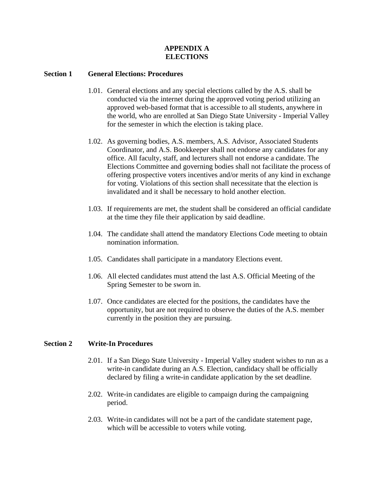# **APPENDIX A ELECTIONS**

## **Section 1 General Elections: Procedures**

- 1.01. General elections and any special elections called by the A.S. shall be conducted via the internet during the approved voting period utilizing an approved web-based format that is accessible to all students, anywhere in the world, who are enrolled at San Diego State University - Imperial Valley for the semester in which the election is taking place.
- 1.02. As governing bodies, A.S. members, A.S. Advisor, Associated Students Coordinator, and A.S. Bookkeeper shall not endorse any candidates for any office. All faculty, staff, and lecturers shall not endorse a candidate. The Elections Committee and governing bodies shall not facilitate the process of offering prospective voters incentives and/or merits of any kind in exchange for voting. Violations of this section shall necessitate that the election is invalidated and it shall be necessary to hold another election.
- 1.03. If requirements are met, the student shall be considered an official candidate at the time they file their application by said deadline.
- 1.04. The candidate shall attend the mandatory Elections Code meeting to obtain nomination information.
- 1.05. Candidates shall participate in a mandatory Elections event.
- 1.06. All elected candidates must attend the last A.S. Official Meeting of the Spring Semester to be sworn in.
- 1.07. Once candidates are elected for the positions, the candidates have the opportunity, but are not required to observe the duties of the A.S. member currently in the position they are pursuing.

# **Section 2 Write-In Procedures**

- 2.01. If a San Diego State University Imperial Valley student wishes to run as a write-in candidate during an A.S. Election, candidacy shall be officially declared by filing a write-in candidate application by the set deadline.
- 2.02. Write-in candidates are eligible to campaign during the campaigning period.
- 2.03. Write-in candidates will not be a part of the candidate statement page, which will be accessible to voters while voting.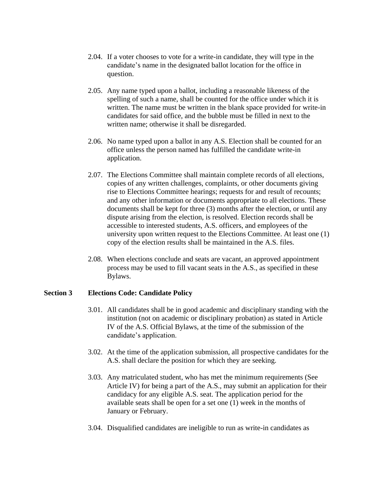- 2.04. If a voter chooses to vote for a write-in candidate, they will type in the candidate's name in the designated ballot location for the office in question.
- 2.05. Any name typed upon a ballot, including a reasonable likeness of the spelling of such a name, shall be counted for the office under which it is written. The name must be written in the blank space provided for write-in candidates for said office, and the bubble must be filled in next to the written name; otherwise it shall be disregarded.
- 2.06. No name typed upon a ballot in any A.S. Election shall be counted for an office unless the person named has fulfilled the candidate write-in application.
- 2.07. The Elections Committee shall maintain complete records of all elections, copies of any written challenges, complaints, or other documents giving rise to Elections Committee hearings; requests for and result of recounts; and any other information or documents appropriate to all elections. These documents shall be kept for three (3) months after the election, or until any dispute arising from the election, is resolved. Election records shall be accessible to interested students, A.S. officers, and employees of the university upon written request to the Elections Committee. At least one (1) copy of the election results shall be maintained in the A.S. files.
- 2.08. When elections conclude and seats are vacant, an approved appointment process may be used to fill vacant seats in the A.S., as specified in these Bylaws.

## **Section 3 Elections Code: Candidate Policy**

- 3.01. All candidates shall be in good academic and disciplinary standing with the institution (not on academic or disciplinary probation) as stated in Article IV of the A.S. Official Bylaws, at the time of the submission of the candidate's application.
- 3.02. At the time of the application submission, all prospective candidates for the A.S. shall declare the position for which they are seeking.
- 3.03. Any matriculated student, who has met the minimum requirements (See Article IV) for being a part of the A.S., may submit an application for their candidacy for any eligible A.S. seat. The application period for the available seats shall be open for a set one (1) week in the months of January or February.
- 3.04. Disqualified candidates are ineligible to run as write-in candidates as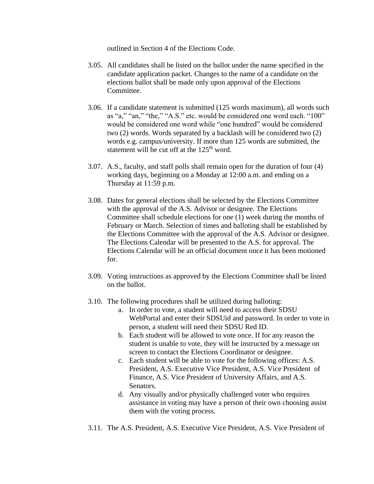outlined in Section 4 of the Elections Code.

- 3.05. All candidates shall be listed on the ballot under the name specified in the candidate application packet. Changes to the name of a candidate on the elections ballot shall be made only upon approval of the Elections Committee.
- 3.06. If a candidate statement is submitted (125 words maximum), all words such as "a," "an," "the," "A.S." etc. would be considered one word each. "100" would be considered one word while "one hundred" would be considered two (2) words. Words separated by a backlash will be considered two (2) words e.g. campus/university. If more than 125 words are submitted, the statement will be cut off at the  $125<sup>th</sup>$  word.
- 3.07. A.S., faculty, and staff polls shall remain open for the duration of four (4) working days, beginning on a Monday at 12:00 a.m. and ending on a Thursday at 11:59 p.m.
- 3.08. Dates for general elections shall be selected by the Elections Committee with the approval of the A.S. Advisor or designee. The Elections Committee shall schedule elections for one (1) week during the months of February or March. Selection of times and balloting shall be established by the Elections Committee with the approval of the A.S. Advisor or designee. The Elections Calendar will be presented to the A.S. for approval. The Elections Calendar will be an official document once it has been motioned for.
- 3.09. Voting instructions as approved by the Elections Committee shall be listed on the ballot.
- 3.10. The following procedures shall be utilized during balloting:
	- a. In order to vote, a student will need to access their SDSU WebPortal and enter their SDSUid and password. In order to vote in person, a student will need their SDSU Red ID.
	- b. Each student will be allowed to vote once. If for any reason the student is unable to vote, they will be instructed by a message on screen to contact the Elections Coordinator or designee.
	- c. Each student will be able to vote for the following offices: A.S. President, A.S. Executive Vice President, A.S. Vice President of Finance, A.S. Vice President of University Affairs, and A.S. Senators.
	- d. Any visually and/or physically challenged voter who requires assistance in voting may have a person of their own choosing assist them with the voting process.
- 3.11. The A.S. President, A.S. Executive Vice President, A.S. Vice President of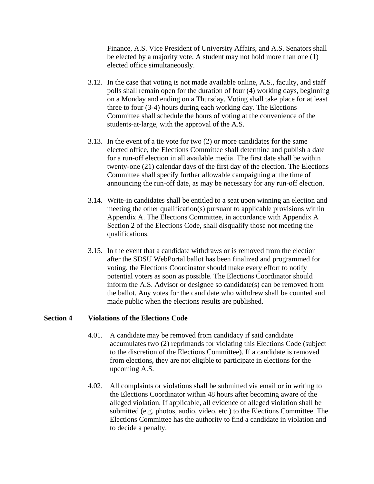Finance, A.S. Vice President of University Affairs, and A.S. Senators shall be elected by a majority vote. A student may not hold more than one (1) elected office simultaneously.

- 3.12. In the case that voting is not made available online, A.S., faculty, and staff polls shall remain open for the duration of four (4) working days, beginning on a Monday and ending on a Thursday. Voting shall take place for at least three to four (3-4) hours during each working day. The Elections Committee shall schedule the hours of voting at the convenience of the students-at-large, with the approval of the A.S.
- 3.13. In the event of a tie vote for two (2) or more candidates for the same elected office, the Elections Committee shall determine and publish a date for a run-off election in all available media. The first date shall be within twenty-one (21) calendar days of the first day of the election. The Elections Committee shall specify further allowable campaigning at the time of announcing the run-off date, as may be necessary for any run-off election.
- 3.14. Write-in candidates shall be entitled to a seat upon winning an election and meeting the other qualification(s) pursuant to applicable provisions within Appendix A. The Elections Committee, in accordance with Appendix A Section 2 of the Elections Code, shall disqualify those not meeting the qualifications.
- 3.15. In the event that a candidate withdraws or is removed from the election after the SDSU WebPortal ballot has been finalized and programmed for voting, the Elections Coordinator should make every effort to notify potential voters as soon as possible. The Elections Coordinator should inform the A.S. Advisor or designee so candidate(s) can be removed from the ballot. Any votes for the candidate who withdrew shall be counted and made public when the elections results are published.

#### **Section 4 Violations of the Elections Code**

- 4.01. A candidate may be removed from candidacy if said candidate accumulates two (2) reprimands for violating this Elections Code (subject to the discretion of the Elections Committee). If a candidate is removed from elections, they are not eligible to participate in elections for the upcoming A.S.
- 4.02. All complaints or violations shall be submitted via email or in writing to the Elections Coordinator within 48 hours after becoming aware of the alleged violation. If applicable, all evidence of alleged violation shall be submitted (e.g. photos, audio, video, etc.) to the Elections Committee. The Elections Committee has the authority to find a candidate in violation and to decide a penalty.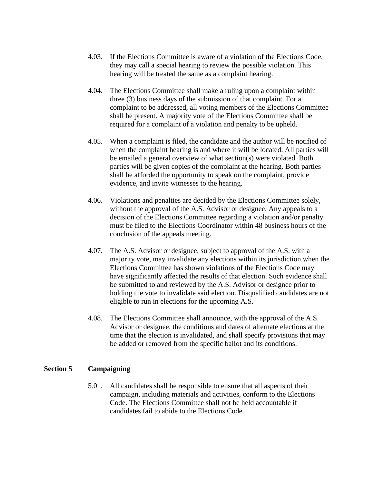- 4.03. If the Elections Committee is aware of a violation of the Elections Code, they may call a special hearing to review the possible violation. This hearing will be treated the same as a complaint hearing.
- 4.04. The Elections Committee shall make a ruling upon a complaint within three (3) business days of the submission of that complaint. For a complaint to be addressed, all voting members of the Elections Committee shall be present. A majority vote of the Elections Committee shall be required for a complaint of a violation and penalty to be upheld.
- 4.05. When a complaint is filed, the candidate and the author will be notified of when the complaint hearing is and where it will be located. All parties will be emailed a general overview of what section(s) were violated. Both parties will be given copies of the complaint at the hearing. Both parties shall be afforded the opportunity to speak on the complaint, provide evidence, and invite witnesses to the hearing.
- 4.06. Violations and penalties are decided by the Elections Committee solely, without the approval of the A.S. Advisor or designee. Any appeals to a decision of the Elections Committee regarding a violation and/or penalty must be filed to the Elections Coordinator within 48 business hours of the conclusion of the appeals meeting.
- 4.07. The A.S. Advisor or designee, subject to approval of the A.S. with a majority vote, may invalidate any elections within its jurisdiction when the Elections Committee has shown violations of the Elections Code may have significantly affected the results of that election. Such evidence shall be submitted to and reviewed by the A.S. Advisor or designee prior to holding the vote to invalidate said election. Disqualified candidates are not eligible to run in elections for the upcoming A.S.
- 4.08. The Elections Committee shall announce, with the approval of the A.S. Advisor or designee, the conditions and dates of alternate elections at the time that the election is invalidated, and shall specify provisions that may be added or removed from the specific ballot and its conditions.

## **Section 5 Campaigning**

5.01. All candidates shall be responsible to ensure that all aspects of their campaign, including materials and activities, conform to the Elections Code. The Elections Committee shall not be held accountable if candidates fail to abide to the Elections Code.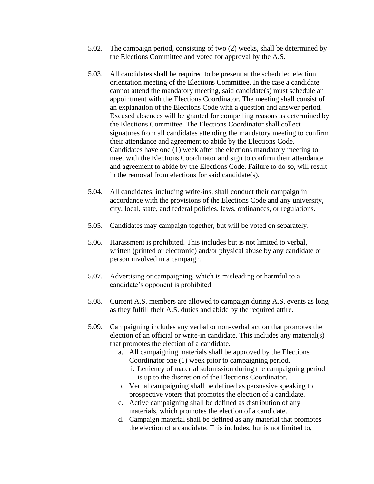- 5.02. The campaign period, consisting of two (2) weeks, shall be determined by the Elections Committee and voted for approval by the A.S.
- 5.03. All candidates shall be required to be present at the scheduled election orientation meeting of the Elections Committee. In the case a candidate cannot attend the mandatory meeting, said candidate(s) must schedule an appointment with the Elections Coordinator. The meeting shall consist of an explanation of the Elections Code with a question and answer period. Excused absences will be granted for compelling reasons as determined by the Elections Committee. The Elections Coordinator shall collect signatures from all candidates attending the mandatory meeting to confirm their attendance and agreement to abide by the Elections Code. Candidates have one (1) week after the elections mandatory meeting to meet with the Elections Coordinator and sign to confirm their attendance and agreement to abide by the Elections Code. Failure to do so, will result in the removal from elections for said candidate(s).
- 5.04. All candidates, including write-ins, shall conduct their campaign in accordance with the provisions of the Elections Code and any university, city, local, state, and federal policies, laws, ordinances, or regulations.
- 5.05. Candidates may campaign together, but will be voted on separately.
- 5.06. Harassment is prohibited. This includes but is not limited to verbal, written (printed or electronic) and/or physical abuse by any candidate or person involved in a campaign.
- 5.07. Advertising or campaigning, which is misleading or harmful to a candidate's opponent is prohibited.
- 5.08. Current A.S. members are allowed to campaign during A.S. events as long as they fulfill their A.S. duties and abide by the required attire.
- 5.09. Campaigning includes any verbal or non-verbal action that promotes the election of an official or write-in candidate. This includes any material(s) that promotes the election of a candidate.
	- a. All campaigning materials shall be approved by the Elections Coordinator one (1) week prior to campaigning period.
		- i. Leniency of material submission during the campaigning period is up to the discretion of the Elections Coordinator.
	- b. Verbal campaigning shall be defined as persuasive speaking to prospective voters that promotes the election of a candidate.
	- c. Active campaigning shall be defined as distribution of any materials, which promotes the election of a candidate.
	- d. Campaign material shall be defined as any material that promotes the election of a candidate. This includes, but is not limited to,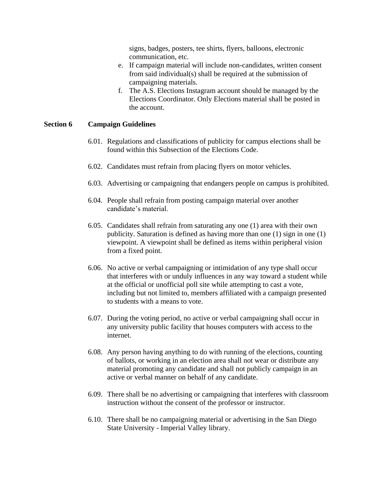signs, badges, posters, tee shirts, flyers, balloons, electronic communication, etc.

- e. If campaign material will include non-candidates, written consent from said individual(s) shall be required at the submission of campaigning materials.
- f. The A.S. Elections Instagram account should be managed by the Elections Coordinator. Only Elections material shall be posted in the account.

#### **Section 6 Campaign Guidelines**

- 6.01. Regulations and classifications of publicity for campus elections shall be found within this Subsection of the Elections Code.
- 6.02. Candidates must refrain from placing flyers on motor vehicles.
- 6.03. Advertising or campaigning that endangers people on campus is prohibited.
- 6.04. People shall refrain from posting campaign material over another candidate's material.
- 6.05. Candidates shall refrain from saturating any one (1) area with their own publicity. Saturation is defined as having more than one (1) sign in one (1) viewpoint. A viewpoint shall be defined as items within peripheral vision from a fixed point.
- 6.06. No active or verbal campaigning or intimidation of any type shall occur that interferes with or unduly influences in any way toward a student while at the official or unofficial poll site while attempting to cast a vote, including but not limited to, members affiliated with a campaign presented to students with a means to vote.
- 6.07. During the voting period, no active or verbal campaigning shall occur in any university public facility that houses computers with access to the internet.
- 6.08. Any person having anything to do with running of the elections, counting of ballots, or working in an election area shall not wear or distribute any material promoting any candidate and shall not publicly campaign in an active or verbal manner on behalf of any candidate.
- 6.09. There shall be no advertising or campaigning that interferes with classroom instruction without the consent of the professor or instructor.
- 6.10. There shall be no campaigning material or advertising in the San Diego State University - Imperial Valley library.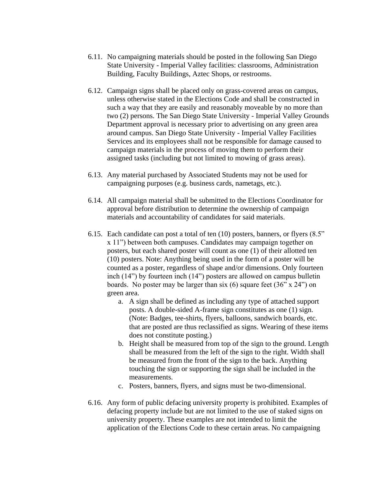- 6.11. No campaigning materials should be posted in the following San Diego State University - Imperial Valley facilities: classrooms, Administration Building, Faculty Buildings, Aztec Shops, or restrooms.
- 6.12. Campaign signs shall be placed only on grass-covered areas on campus, unless otherwise stated in the Elections Code and shall be constructed in such a way that they are easily and reasonably moveable by no more than two (2) persons. The San Diego State University - Imperial Valley Grounds Department approval is necessary prior to advertising on any green area around campus. San Diego State University - Imperial Valley Facilities Services and its employees shall not be responsible for damage caused to campaign materials in the process of moving them to perform their assigned tasks (including but not limited to mowing of grass areas).
- 6.13. Any material purchased by Associated Students may not be used for campaigning purposes (e.g. business cards, nametags, etc.).
- 6.14. All campaign material shall be submitted to the Elections Coordinator for approval before distribution to determine the ownership of campaign materials and accountability of candidates for said materials.
- 6.15. Each candidate can post a total of ten (10) posters, banners, or flyers (8.5" x 11") between both campuses. Candidates may campaign together on posters, but each shared poster will count as one (1) of their allotted ten (10) posters. Note: Anything being used in the form of a poster will be counted as a poster, regardless of shape and/or dimensions. Only fourteen inch (14") by fourteen inch (14") posters are allowed on campus bulletin boards. No poster may be larger than six (6) square feet (36" x 24") on green area.
	- a. A sign shall be defined as including any type of attached support posts. A double-sided A-frame sign constitutes as one (1) sign. (Note: Badges, tee-shirts, flyers, balloons, sandwich boards, etc. that are posted are thus reclassified as signs. Wearing of these items does not constitute posting.)
	- b. Height shall be measured from top of the sign to the ground. Length shall be measured from the left of the sign to the right. Width shall be measured from the front of the sign to the back. Anything touching the sign or supporting the sign shall be included in the measurements.
	- c. Posters, banners, flyers, and signs must be two-dimensional.
- 6.16. Any form of public defacing university property is prohibited. Examples of defacing property include but are not limited to the use of staked signs on university property. These examples are not intended to limit the application of the Elections Code to these certain areas. No campaigning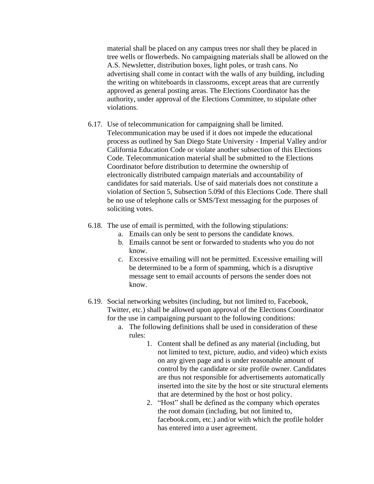material shall be placed on any campus trees nor shall they be placed in tree wells or flowerbeds. No campaigning materials shall be allowed on the A.S. Newsletter, distribution boxes, light poles, or trash cans. No advertising shall come in contact with the walls of any building, including the writing on whiteboards in classrooms, except areas that are currently approved as general posting areas. The Elections Coordinator has the authority, under approval of the Elections Committee, to stipulate other violations.

- 6.17. Use of telecommunication for campaigning shall be limited. Telecommunication may be used if it does not impede the educational process as outlined by San Diego State University - Imperial Valley and/or California Education Code or violate another subsection of this Elections Code. Telecommunication material shall be submitted to the Elections Coordinator before distribution to determine the ownership of electronically distributed campaign materials and accountability of candidates for said materials. Use of said materials does not constitute a violation of Section 5, Subsection 5.09d of this Elections Code. There shall be no use of telephone calls or SMS/Text messaging for the purposes of soliciting votes.
- 6.18. The use of email is permitted, with the following stipulations:
	- a. Emails can only be sent to persons the candidate knows.
	- b. Emails cannot be sent or forwarded to students who you do not know.
	- c. Excessive emailing will not be permitted. Excessive emailing will be determined to be a form of spamming, which is a disruptive message sent to email accounts of persons the sender does not know.
- 6.19. Social networking websites (including, but not limited to, Facebook, Twitter, etc.) shall be allowed upon approval of the Elections Coordinator for the use in campaigning pursuant to the following conditions:
	- a. The following definitions shall be used in consideration of these rules:
		- 1. Content shall be defined as any material (including, but not limited to text, picture, audio, and video) which exists on any given page and is under reasonable amount of control by the candidate or site profile owner. Candidates are thus not responsible for advertisements automatically inserted into the site by the host or site structural elements that are determined by the host or host policy.
		- 2. "Host" shall be defined as the company which operates the root domain (including, but not limited to, facebook.com, etc.) and/or with which the profile holder has entered into a user agreement.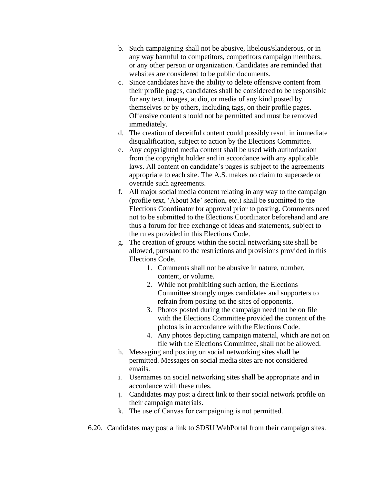- b. Such campaigning shall not be abusive, libelous/slanderous, or in any way harmful to competitors, competitors campaign members, or any other person or organization. Candidates are reminded that websites are considered to be public documents.
- c. Since candidates have the ability to delete offensive content from their profile pages, candidates shall be considered to be responsible for any text, images, audio, or media of any kind posted by themselves or by others, including tags, on their profile pages. Offensive content should not be permitted and must be removed immediately.
- d. The creation of deceitful content could possibly result in immediate disqualification, subject to action by the Elections Committee.
- e. Any copyrighted media content shall be used with authorization from the copyright holder and in accordance with any applicable laws. All content on candidate's pages is subject to the agreements appropriate to each site. The A.S. makes no claim to supersede or override such agreements.
- f. All major social media content relating in any way to the campaign (profile text, 'About Me' section, etc.) shall be submitted to the Elections Coordinator for approval prior to posting. Comments need not to be submitted to the Elections Coordinator beforehand and are thus a forum for free exchange of ideas and statements, subject to the rules provided in this Elections Code.
- g. The creation of groups within the social networking site shall be allowed, pursuant to the restrictions and provisions provided in this Elections Code.
	- 1. Comments shall not be abusive in nature, number, content, or volume.
	- 2. While not prohibiting such action, the Elections Committee strongly urges candidates and supporters to refrain from posting on the sites of opponents.
	- 3. Photos posted during the campaign need not be on file with the Elections Committee provided the content of the photos is in accordance with the Elections Code.
	- 4. Any photos depicting campaign material, which are not on file with the Elections Committee, shall not be allowed.
- h. Messaging and posting on social networking sites shall be permitted. Messages on social media sites are not considered emails.
- i. Usernames on social networking sites shall be appropriate and in accordance with these rules.
- j. Candidates may post a direct link to their social network profile on their campaign materials.
- k. The use of Canvas for campaigning is not permitted.
- 6.20. Candidates may post a link to SDSU WebPortal from their campaign sites.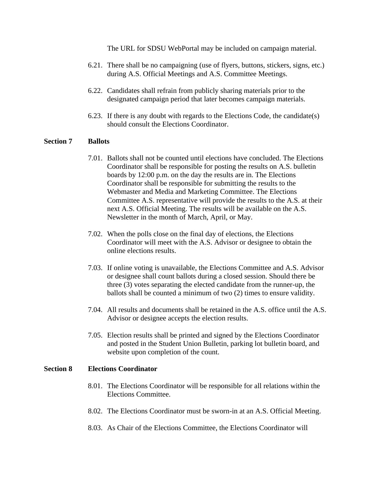The URL for SDSU WebPortal may be included on campaign material.

- 6.21. There shall be no campaigning (use of flyers, buttons, stickers, signs, etc.) during A.S. Official Meetings and A.S. Committee Meetings.
- 6.22. Candidates shall refrain from publicly sharing materials prior to the designated campaign period that later becomes campaign materials.
- 6.23. If there is any doubt with regards to the Elections Code, the candidate(s) should consult the Elections Coordinator.

## **Section 7 Ballots**

- 7.01. Ballots shall not be counted until elections have concluded. The Elections Coordinator shall be responsible for posting the results on A.S. bulletin boards by 12:00 p.m. on the day the results are in. The Elections Coordinator shall be responsible for submitting the results to the Webmaster and Media and Marketing Committee. The Elections Committee A.S. representative will provide the results to the A.S. at their next A.S. Official Meeting. The results will be available on the A.S. Newsletter in the month of March, April, or May.
- 7.02. When the polls close on the final day of elections, the Elections Coordinator will meet with the A.S. Advisor or designee to obtain the online elections results.
- 7.03. If online voting is unavailable, the Elections Committee and A.S. Advisor or designee shall count ballots during a closed session. Should there be three (3) votes separating the elected candidate from the runner-up, the ballots shall be counted a minimum of two (2) times to ensure validity.
- 7.04. All results and documents shall be retained in the A.S. office until the A.S. Advisor or designee accepts the election results.
- 7.05. Election results shall be printed and signed by the Elections Coordinator and posted in the Student Union Bulletin, parking lot bulletin board, and website upon completion of the count.

#### **Section 8 Elections Coordinator**

- 8.01. The Elections Coordinator will be responsible for all relations within the Elections Committee.
- 8.02. The Elections Coordinator must be sworn-in at an A.S. Official Meeting.
- 8.03. As Chair of the Elections Committee, the Elections Coordinator will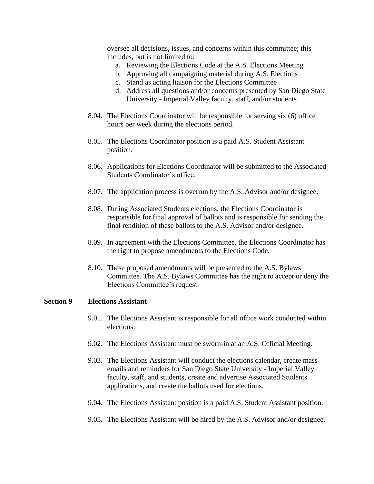oversee all decisions, issues, and concerns within this committee; this includes, but is not limited to:

- a. Reviewing the Elections Code at the A.S. Elections Meeting
- b. Approving all campaigning material during A.S. Elections
- c. Stand as acting liaison for the Elections Committee
- d. Address all questions and/or concerns presented by San Diego State University - Imperial Valley faculty, staff, and/or students
- 8.04. The Elections Coordinator will be responsible for serving six (6) office hours per week during the elections period.
- 8.05. The Elections Coordinator position is a paid A.S. Student Assistant position.
- 8.06. Applications for Elections Coordinator will be submitted to the Associated Students Coordinator's office.
- 8.07. The application process is overrun by the A.S. Advisor and/or designee.
- 8.08. During Associated Students elections, the Elections Coordinator is responsible for final approval of ballots and is responsible for sending the final rendition of these ballots to the A.S. Advisor and/or designee.
- 8.09. In agreement with the Elections Committee, the Elections Coordinator has the right to propose amendments to the Elections Code.
- 8.10. These proposed amendments will be presented to the A.S. Bylaws Committee. The A.S. Bylaws Committee has the right to accept or deny the Elections Committee's request.

#### **Section 9 Elections Assistant**

- 9.01. The Elections Assistant is responsible for all office work conducted within elections.
- 9.02. The Elections Assistant must be sworn-in at an A.S. Official Meeting.
- 9.03. The Elections Assistant will conduct the elections calendar, create mass emails and reminders for San Diego State University - Imperial Valley faculty, staff, and students, create and advertise Associated Students applications, and create the ballots used for elections.
- 9.04. The Elections Assistant position is a paid A.S. Student Assistant position.
- 9.05. The Elections Assistant will be hired by the A.S. Advisor and/or designee.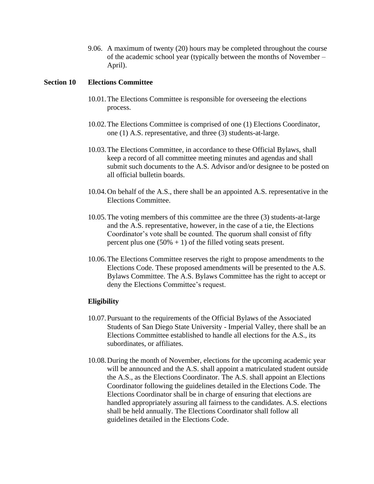9.06. A maximum of twenty (20) hours may be completed throughout the course of the academic school year (typically between the months of November – April).

#### **Section 10 Elections Committee**

- 10.01.The Elections Committee is responsible for overseeing the elections process.
- 10.02.The Elections Committee is comprised of one (1) Elections Coordinator, one (1) A.S. representative, and three (3) students-at-large.
- 10.03.The Elections Committee, in accordance to these Official Bylaws, shall keep a record of all committee meeting minutes and agendas and shall submit such documents to the A.S. Advisor and/or designee to be posted on all official bulletin boards.
- 10.04.On behalf of the A.S., there shall be an appointed A.S. representative in the Elections Committee.
- 10.05.The voting members of this committee are the three (3) students-at-large and the A.S. representative, however, in the case of a tie, the Elections Coordinator's vote shall be counted. The quorum shall consist of fifty percent plus one  $(50\% + 1)$  of the filled voting seats present.
- 10.06.The Elections Committee reserves the right to propose amendments to the Elections Code. These proposed amendments will be presented to the A.S. Bylaws Committee. The A.S. Bylaws Committee has the right to accept or deny the Elections Committee's request.

## **Eligibility**

- 10.07.Pursuant to the requirements of the Official Bylaws of the Associated Students of San Diego State University - Imperial Valley, there shall be an Elections Committee established to handle all elections for the A.S., its subordinates, or affiliates.
- 10.08.During the month of November, elections for the upcoming academic year will be announced and the A.S. shall appoint a matriculated student outside the A.S., as the Elections Coordinator. The A.S. shall appoint an Elections Coordinator following the guidelines detailed in the Elections Code. The Elections Coordinator shall be in charge of ensuring that elections are handled appropriately assuring all fairness to the candidates. A.S. elections shall be held annually. The Elections Coordinator shall follow all guidelines detailed in the Elections Code.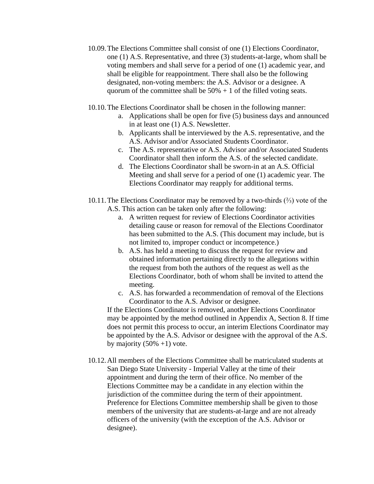- 10.09.The Elections Committee shall consist of one (1) Elections Coordinator, one (1) A.S. Representative, and three (3) students-at-large, whom shall be voting members and shall serve for a period of one (1) academic year, and shall be eligible for reappointment. There shall also be the following designated, non-voting members: the A.S. Advisor or a designee. A quorum of the committee shall be  $50\% + 1$  of the filled voting seats.
- 10.10.The Elections Coordinator shall be chosen in the following manner:
	- a. Applications shall be open for five (5) business days and announced in at least one (1) A.S. Newsletter.
	- b. Applicants shall be interviewed by the A.S. representative, and the A.S. Advisor and/or Associated Students Coordinator.
	- c. The A.S. representative or A.S. Advisor and/or Associated Students Coordinator shall then inform the A.S. of the selected candidate.
	- d. The Elections Coordinator shall be sworn-in at an A.S. Official Meeting and shall serve for a period of one (1) academic year. The Elections Coordinator may reapply for additional terms.
- 10.11.The Elections Coordinator may be removed by a two-thirds (⅔) vote of the A.S. This action can be taken only after the following:
	- a. A written request for review of Elections Coordinator activities detailing cause or reason for removal of the Elections Coordinator has been submitted to the A.S. (This document may include, but is not limited to, improper conduct or incompetence.)
	- b. A.S. has held a meeting to discuss the request for review and obtained information pertaining directly to the allegations within the request from both the authors of the request as well as the Elections Coordinator, both of whom shall be invited to attend the meeting.
	- c. A.S. has forwarded a recommendation of removal of the Elections Coordinator to the A.S. Advisor or designee.

If the Elections Coordinator is removed, another Elections Coordinator may be appointed by the method outlined in Appendix A, Section 8. If time does not permit this process to occur, an interim Elections Coordinator may be appointed by the A.S. Advisor or designee with the approval of the A.S. by majority  $(50\% +1)$  vote.

10.12.All members of the Elections Committee shall be matriculated students at San Diego State University - Imperial Valley at the time of their appointment and during the term of their office. No member of the Elections Committee may be a candidate in any election within the jurisdiction of the committee during the term of their appointment. Preference for Elections Committee membership shall be given to those members of the university that are students-at-large and are not already officers of the university (with the exception of the A.S. Advisor or designee).